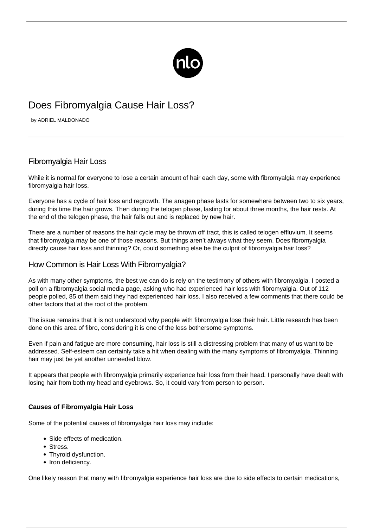

# Does Fibromyalgia Cause Hair Loss?

by ADRIEL MALDONADO

## Fibromyalgia Hair Loss

While it is normal for everyone to lose a certain amount of hair each day, some with fibromyalgia may experience fibromyalgia hair loss.

Everyone has a cycle of hair loss and regrowth. The anagen phase lasts for somewhere between two to six years, during this time the hair grows. Then during the telogen phase, lasting for about three months, the hair rests. At the end of the telogen phase, the hair falls out and is replaced by new hair.

There are a number of reasons the hair cycle may be thrown off tract, this is called telogen effluvium. It seems that fibromyalgia may be one of those reasons. But things aren't always what they seem. Does fibromyalgia directly cause hair loss and thinning? Or, could something else be the culprit of fibromyalgia hair loss?

### How Common is Hair Loss With Fibromyalgia?

As with many other symptoms, the best we can do is rely on the testimony of others with fibromyalgia. I posted a poll on a fibromyalgia social media page, asking who had experienced hair loss with fibromyalgia. Out of 112 people polled, 85 of them said they had experienced hair loss. I also received a few comments that there could be other factors that at the root of the problem.

The issue remains that it is not understood why people with fibromyalgia lose their hair. Little research has been done on this area of fibro, considering it is one of the less bothersome symptoms.

Even if pain and fatigue are more consuming, hair loss is still a distressing problem that many of us want to be addressed. Self-esteem can certainly take a hit when dealing with the many [symptoms of fibromyalgia.](/symptoms-of-fibromyalgia/) Thinning hair may just be yet another unneeded blow.

It appears that people with fibromyalgia primarily experience hair loss from their head. I personally have dealt with losing hair from both my head and eyebrows. So, it could vary from person to person.

#### **Causes of Fibromyalgia Hair Loss**

Some of the potential causes of fibromyalgia hair loss may include:

- Side effects of medication.
- Stress.
- Thyroid dysfunction.
- Iron deficiency.

One likely reason that many with fibromyalgia experience hair loss are due to side effects to certain medications,